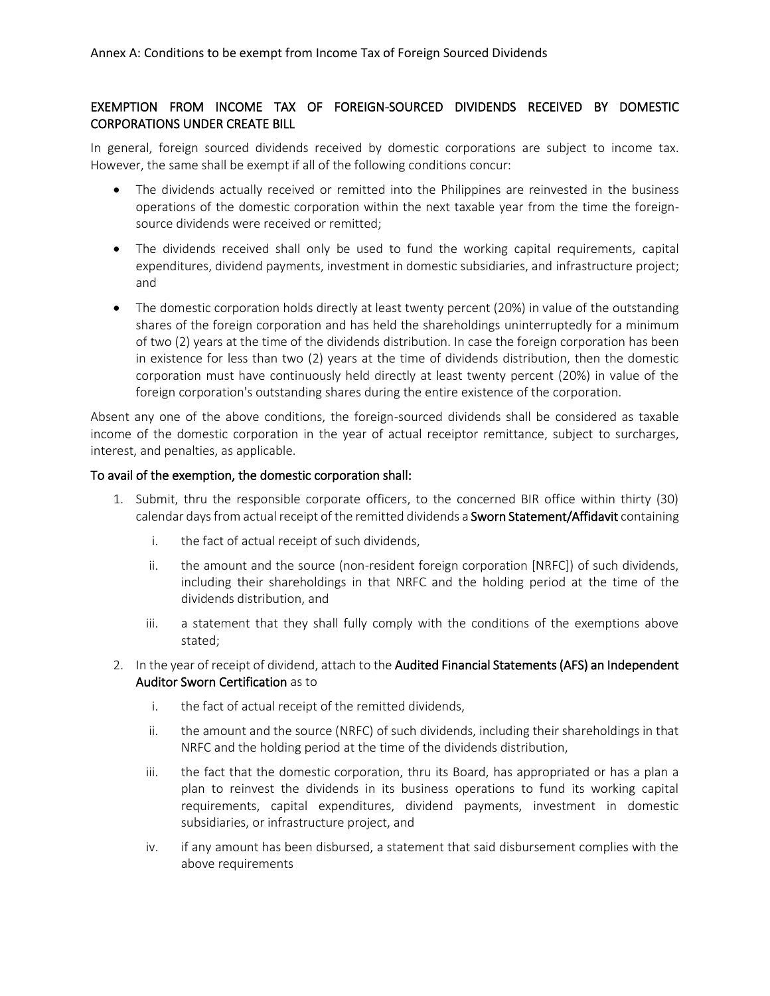# EXEMPTION FROM INCOME TAX OF FOREIGN-SOURCED DIVIDENDS RECEIVED BY DOMESTIC CORPORATIONS UNDER CREATE BILL

In general, foreign sourced dividends received by domestic corporations are subject to income tax. However, the same shall be exempt if all of the following conditions concur:

- The dividends actually received or remitted into the Philippines are reinvested in the business operations of the domestic corporation within the next taxable year from the time the foreignsource dividends were received or remitted;
- The dividends received shall only be used to fund the working capital requirements, capital expenditures, dividend payments, investment in domestic subsidiaries, and infrastructure project; and
- The domestic corporation holds directly at least twenty percent (20%) in value of the outstanding shares of the foreign corporation and has held the shareholdings uninterruptedly for a minimum of two (2) years at the time of the dividends distribution. In case the foreign corporation has been in existence for less than two (2) years at the time of dividends distribution, then the domestic corporation must have continuously held directly at least twenty percent (20%) in value of the foreign corporation's outstanding shares during the entire existence of the corporation.

Absent any one of the above conditions, the foreign-sourced dividends shall be considered as taxable income of the domestic corporation in the year of actual receiptor remittance, subject to surcharges, interest, and penalties, as applicable.

#### To avail of the exemption, the domestic corporation shall:

- 1. Submit, thru the responsible corporate officers, to the concerned BIR office within thirty (30) calendar days from actual receipt of the remitted dividends a Sworn Statement/Affidavit containing
	- i. the fact of actual receipt of such dividends,
	- ii. the amount and the source (non-resident foreign corporation [NRFC]) of such dividends, including their shareholdings in that NRFC and the holding period at the time of the dividends distribution, and
	- iii. a statement that they shall fully comply with the conditions of the exemptions above stated;
- 2. In the year of receipt of dividend, attach to the Audited Financial Statements (AFS) an Independent Auditor Sworn Certification as to
	- i. the fact of actual receipt of the remitted dividends,
	- ii. the amount and the source (NRFC) of such dividends, including their shareholdings in that NRFC and the holding period at the time of the dividends distribution,
	- iii. the fact that the domestic corporation, thru its Board, has appropriated or has a plan a plan to reinvest the dividends in its business operations to fund its working capital requirements, capital expenditures, dividend payments, investment in domestic subsidiaries, or infrastructure project, and
	- iv. if any amount has been disbursed, a statement that said disbursement complies with the above requirements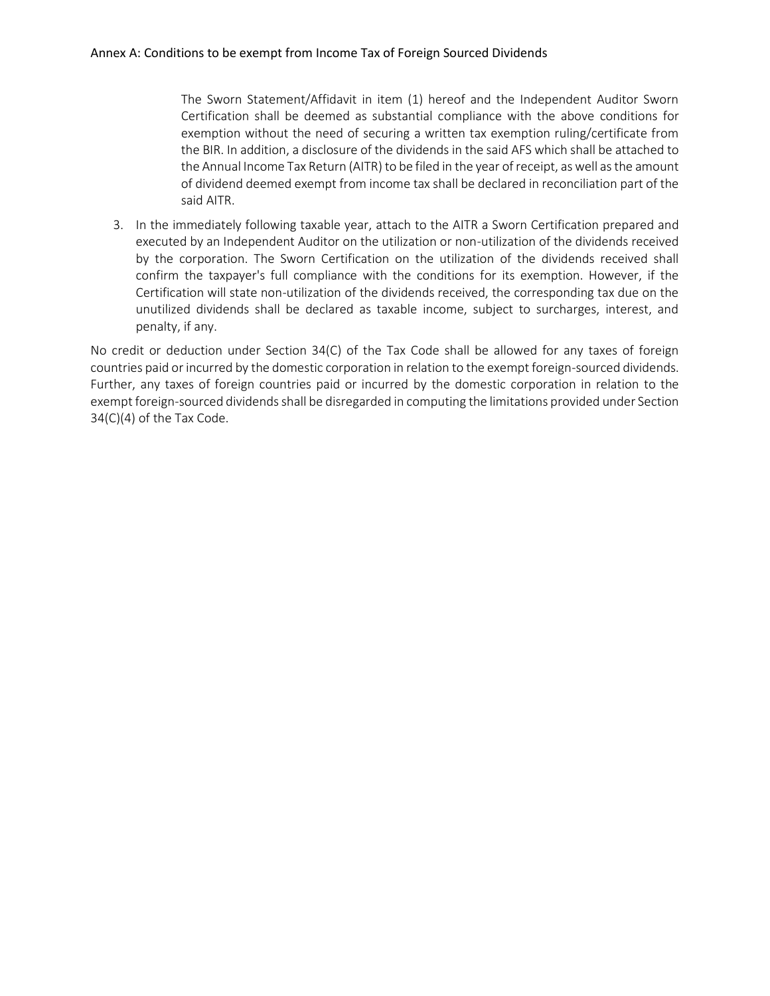The Sworn Statement/Affidavit in item (1) hereof and the Independent Auditor Sworn Certification shall be deemed as substantial compliance with the above conditions for exemption without the need of securing a written tax exemption ruling/certificate from the BIR. In addition, a disclosure of the dividends in the said AFS which shall be attached to the Annual Income Tax Return (AITR) to be filed in the year of receipt, as well as the amount of dividend deemed exempt from income tax shall be declared in reconciliation part of the said AITR.

3. In the immediately following taxable year, attach to the AITR a Sworn Certification prepared and executed by an Independent Auditor on the utilization or non-utilization of the dividends received by the corporation. The Sworn Certification on the utilization of the dividends received shall confirm the taxpayer's full compliance with the conditions for its exemption. However, if the Certification will state non-utilization of the dividends received, the corresponding tax due on the unutilized dividends shall be declared as taxable income, subject to surcharges, interest, and penalty, if any.

No credit or deduction under Section 34(C) of the Tax Code shall be allowed for any taxes of foreign countries paid or incurred by the domestic corporation in relation to the exempt foreign-sourced dividends. Further, any taxes of foreign countries paid or incurred by the domestic corporation in relation to the exempt foreign-sourced dividends shall be disregarded in computing the limitations provided under Section 34(C)(4) of the Tax Code.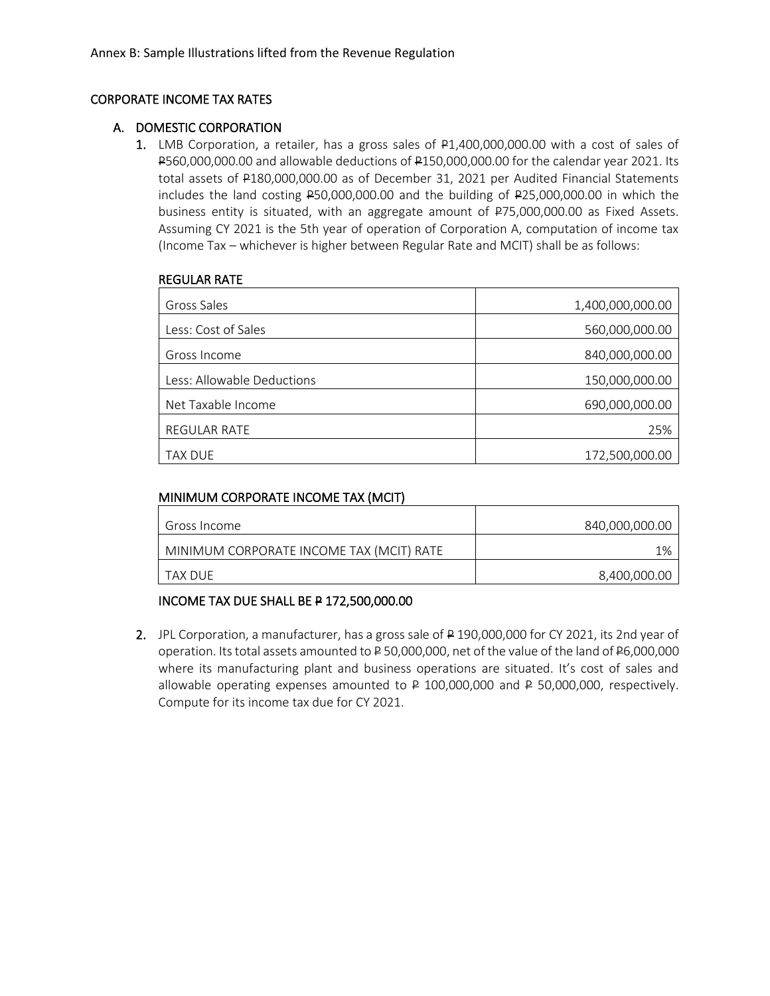### CORPORATE INCOME TAX RATES

### A. DOMESTIC CORPORATION

1. LMB Corporation, a retailer, has a gross sales of P1,400,000,000.00 with a cost of sales of P560,000,000.00 and allowable deductions of P150,000,000.00 for the calendar year 2021. Its total assets of P180,000,000.00 as of December 31, 2021 per Audited Financial Statements includes the land costing P50,000,000.00 and the building of P25,000,000.00 in which the business entity is situated, with an aggregate amount of P75,000,000.00 as Fixed Assets. Assuming CY 2021 is the 5th year of operation of Corporation A, computation of income tax (Income Tax – whichever is higher between Regular Rate and MCIT) shall be as follows:

#### REGULAR RATE

| Gross Sales                | 1,400,000,000.00 |
|----------------------------|------------------|
| Less: Cost of Sales        | 560,000,000.00   |
| Gross Income               | 840,000,000.00   |
| Less: Allowable Deductions | 150,000,000.00   |
| Net Taxable Income         | 690,000,000.00   |
| REGULAR RATE               | 25%              |
| <b>TAX DUE</b>             | 172,500,000.00   |

### MINIMUM CORPORATE INCOME TAX (MCIT)

| Gross Income                             | 840,000,000.00 |
|------------------------------------------|----------------|
| MINIMUM CORPORATE INCOME TAX (MCIT) RATE | 1%             |
| TAX DUF                                  | 8,400,000.00   |

## INCOME TAX DUE SHALL BE P 172,500,000.00

2. JPL Corporation, a manufacturer, has a gross sale of P 190,000,000 for CY 2021, its 2nd year of operation. Its total assets amounted to P 50,000,000, net of the value of the land of P6,000,000 where its manufacturing plant and business operations are situated. It's cost of sales and allowable operating expenses amounted to  $P$  100,000,000 and  $P$  50,000,000, respectively. Compute for its income tax due for CY 2021.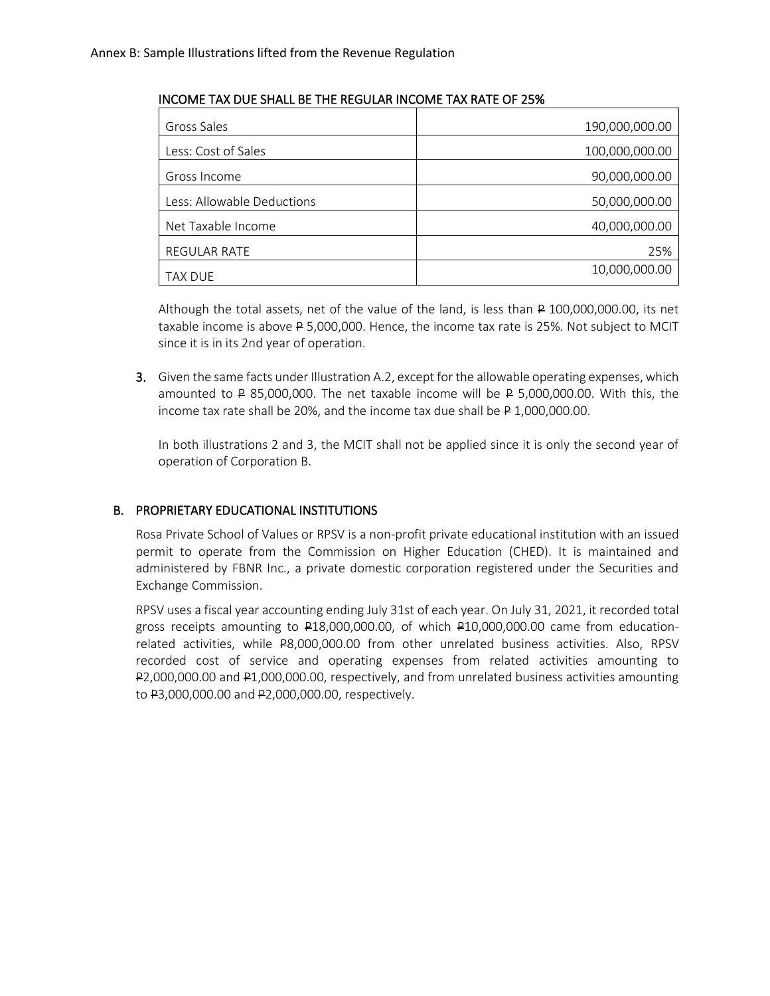### INCOME TAX DUE SHALL BE THE REGULAR INCOME TAX RATE OF 25%

| Gross Sales                | 190,000,000.00 |
|----------------------------|----------------|
| Less: Cost of Sales        | 100,000,000.00 |
| Gross Income               | 90,000,000.00  |
| Less: Allowable Deductions | 50,000,000.00  |
| Net Taxable Income         | 40,000,000.00  |
| <b>REGULAR RATE</b>        | 25%            |
| <b>TAX DUE</b>             | 10,000,000.00  |

Although the total assets, net of the value of the land, is less than P 100,000,000.00, its net taxable income is above P 5,000,000. Hence, the income tax rate is 25%. Not subject to MCIT since it is in its 2nd year of operation.

3. Given the same facts under Illustration A.2, except for the allowable operating expenses, which amounted to  $\textsf{P}$  85,000,000. The net taxable income will be  $\textsf{P}$  5,000,000.00. With this, the income tax rate shall be 20%, and the income tax due shall be P 1,000,000.00.

In both illustrations 2 and 3, the MCIT shall not be applied since it is only the second year of operation of Corporation B.

## B. PROPRIETARY EDUCATIONAL INSTITUTIONS

Rosa Private School of Values or RPSV is a non-profit private educational institution with an issued permit to operate from the Commission on Higher Education (CHED). It is maintained and administered by FBNR Inc., a private domestic corporation registered under the Securities and Exchange Commission.

RPSV uses a fiscal year accounting ending July 31st of each year. On July 31, 2021, it recorded total gross receipts amounting to P18,000,000.00, of which P10,000,000.00 came from educationrelated activities, while P8,000,000.00 from other unrelated business activities. Also, RPSV recorded cost of service and operating expenses from related activities amounting to P2,000,000.00 and P1,000,000.00, respectively, and from unrelated business activities amounting to P3,000,000.00 and P2,000,000.00, respectively.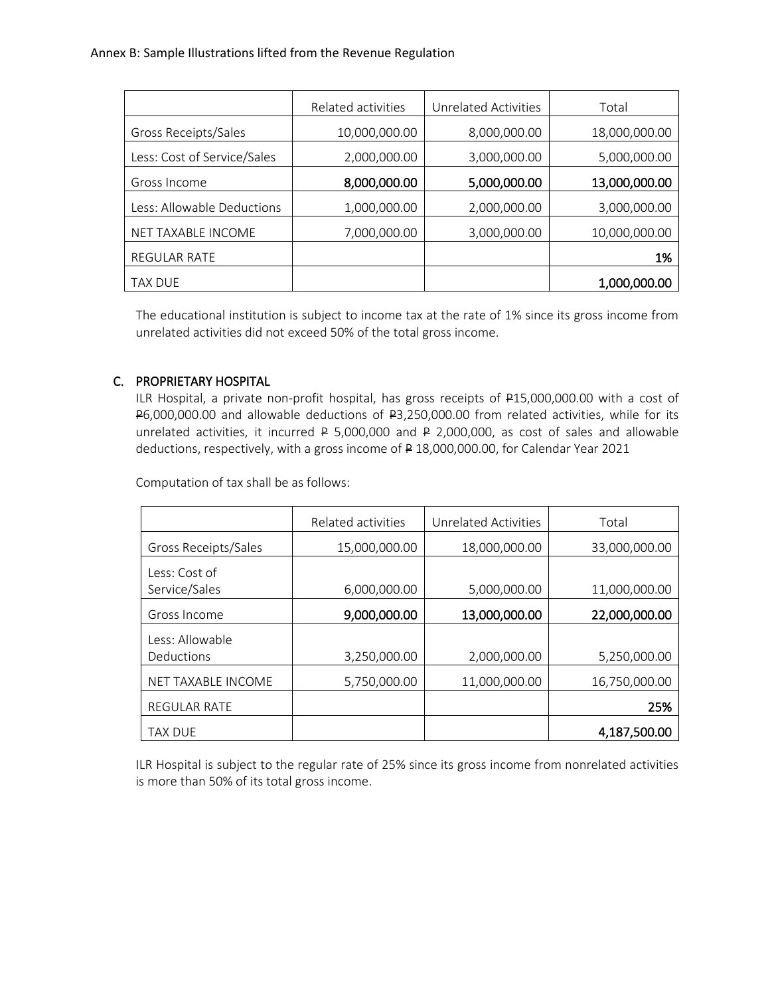|                             | Related activities | Unrelated Activities | Total         |
|-----------------------------|--------------------|----------------------|---------------|
| Gross Receipts/Sales        | 10,000,000.00      | 8,000,000.00         | 18,000,000.00 |
| Less: Cost of Service/Sales | 2,000,000.00       | 3,000,000.00         | 5,000,000.00  |
| Gross Income                | 8,000,000.00       | 5,000,000.00         | 13,000,000.00 |
| Less: Allowable Deductions  | 1,000,000.00       | 2,000,000.00         | 3,000,000.00  |
| NET TAXABLE INCOME          | 7,000,000.00       | 3,000,000.00         | 10,000,000.00 |
| <b>REGULAR RATE</b>         |                    |                      | 1%            |
| <b>TAX DUE</b>              |                    |                      | 1,000,000.00  |

The educational institution is subject to income tax at the rate of 1% since its gross income from unrelated activities did not exceed 50% of the total gross income.

# C. PROPRIETARY HOSPITAL

ILR Hospital, a private non-profit hospital, has gross receipts of P15,000,000.00 with a cost of P6,000,000.00 and allowable deductions of P3,250,000.00 from related activities, while for its unrelated activities, it incurred P 5,000,000 and P 2,000,000, as cost of sales and allowable deductions, respectively, with a gross income of P 18,000,000.00, for Calendar Year 2021

Computation of tax shall be as follows:

|                      | Related activities | Unrelated Activities | Total         |
|----------------------|--------------------|----------------------|---------------|
|                      |                    |                      |               |
| Gross Receipts/Sales | 15,000,000.00      | 18,000,000.00        | 33,000,000.00 |
| Less: Cost of        |                    |                      |               |
| Service/Sales        | 6,000,000.00       | 5,000,000.00         | 11,000,000.00 |
| Gross Income         | 9,000,000.00       | 13,000,000.00        | 22,000,000.00 |
| Less: Allowable      |                    |                      |               |
| Deductions           | 3,250,000.00       | 2,000,000.00         | 5,250,000.00  |
| NET TAXABLE INCOME   | 5,750,000.00       | 11,000,000.00        | 16,750,000.00 |
| <b>REGULAR RATE</b>  |                    |                      | 25%           |
| <b>TAX DUE</b>       |                    |                      | 4,187,500.00  |

ILR Hospital is subject to the regular rate of 25% since its gross income from nonrelated activities is more than 50% of its total gross income.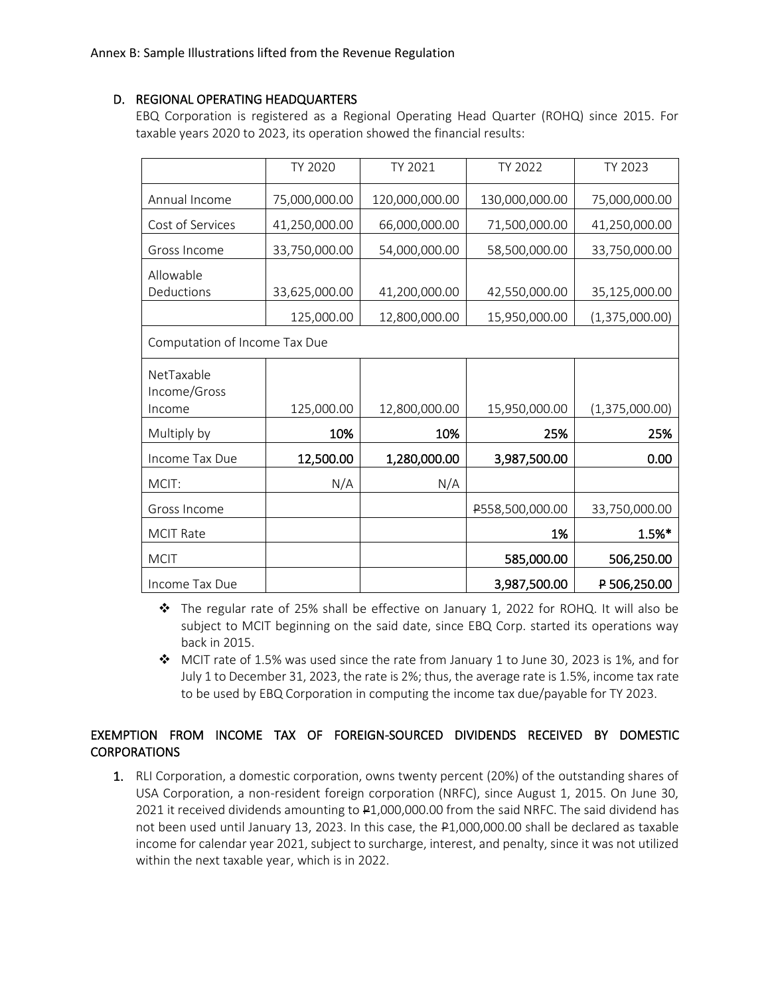## D. REGIONAL OPERATING HEADQUARTERS

EBQ Corporation is registered as a Regional Operating Head Quarter (ROHQ) since 2015. For taxable years 2020 to 2023, its operation showed the financial results:

|                               | <b>TY 2020</b> | TY 2021        | TY 2022         | TY 2023        |
|-------------------------------|----------------|----------------|-----------------|----------------|
| Annual Income                 | 75,000,000.00  | 120,000,000.00 | 130,000,000.00  | 75,000,000.00  |
| Cost of Services              | 41,250,000.00  | 66,000,000.00  | 71,500,000.00   | 41,250,000.00  |
| Gross Income                  | 33,750,000.00  | 54,000,000.00  | 58,500,000.00   | 33,750,000.00  |
| Allowable<br>Deductions       | 33,625,000.00  | 41,200,000.00  | 42,550,000.00   | 35,125,000.00  |
|                               | 125,000.00     | 12,800,000.00  | 15,950,000.00   | (1,375,000.00) |
| Computation of Income Tax Due |                |                |                 |                |
| NetTaxable<br>Income/Gross    |                |                |                 |                |
| Income                        | 125,000.00     | 12,800,000.00  | 15,950,000.00   | (1,375,000.00) |
| Multiply by                   | 10%            | 10%            | 25%             | 25%            |
| Income Tax Due                | 12,500.00      | 1,280,000.00   | 3,987,500.00    | 0.00           |
| MCIT:                         | N/A            | N/A            |                 |                |
| Gross Income                  |                |                | P558,500,000.00 | 33,750,000.00  |
| <b>MCIT Rate</b>              |                |                | 1%              | 1.5%*          |
| <b>MCIT</b>                   |                |                | 585,000.00      | 506,250.00     |
| Income Tax Due                |                |                | 3,987,500.00    | P 506,250.00   |

❖ The regular rate of 25% shall be effective on January 1, 2022 for ROHQ. It will also be subject to MCIT beginning on the said date, since EBQ Corp. started its operations way back in 2015.

❖ MCIT rate of 1.5% was used since the rate from January 1 to June 30, 2023 is 1%, and for July 1 to December 31, 2023, the rate is 2%; thus, the average rate is 1.5%, income tax rate to be used by EBQ Corporation in computing the income tax due/payable for TY 2023.

# EXEMPTION FROM INCOME TAX OF FOREIGN-SOURCED DIVIDENDS RECEIVED BY DOMESTIC CORPORATIONS

1. RLI Corporation, a domestic corporation, owns twenty percent (20%) of the outstanding shares of USA Corporation, a non-resident foreign corporation (NRFC), since August 1, 2015. On June 30, 2021 it received dividends amounting to P1,000,000.00 from the said NRFC. The said dividend has not been used until January 13, 2023. In this case, the P1,000,000.00 shall be declared as taxable income for calendar year 2021, subject to surcharge, interest, and penalty, since it was not utilized within the next taxable year, which is in 2022.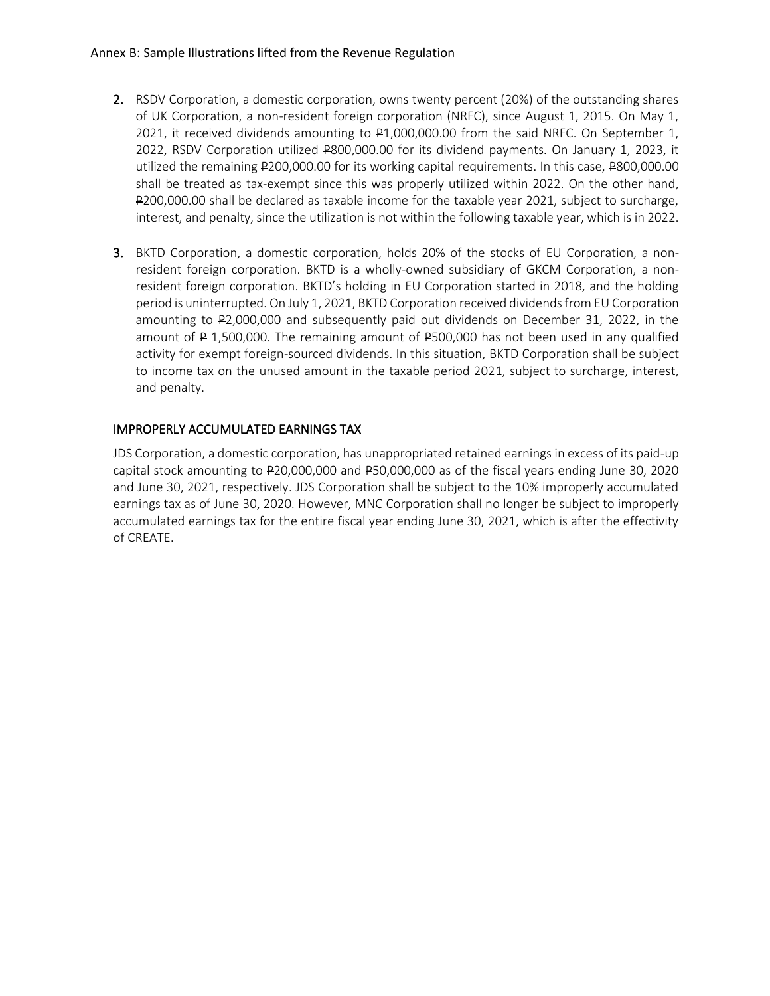- 2. RSDV Corporation, a domestic corporation, owns twenty percent (20%) of the outstanding shares of UK Corporation, a non-resident foreign corporation (NRFC), since August 1, 2015. On May 1, 2021, it received dividends amounting to P1,000,000.00 from the said NRFC. On September 1, 2022, RSDV Corporation utilized P800,000.00 for its dividend payments. On January 1, 2023, it utilized the remaining P200,000.00 for its working capital requirements. In this case, P800,000.00 shall be treated as tax-exempt since this was properly utilized within 2022. On the other hand, P200,000.00 shall be declared as taxable income for the taxable year 2021, subject to surcharge, interest, and penalty, since the utilization is not within the following taxable year, which is in 2022.
- 3. BKTD Corporation, a domestic corporation, holds 20% of the stocks of EU Corporation, a nonresident foreign corporation. BKTD is a wholly-owned subsidiary of GKCM Corporation, a nonresident foreign corporation. BKTD's holding in EU Corporation started in 2018, and the holding period is uninterrupted. On July 1, 2021, BKTD Corporation received dividends from EU Corporation amounting to P2,000,000 and subsequently paid out dividends on December 31, 2022, in the amount of P 1,500,000. The remaining amount of P500,000 has not been used in any qualified activity for exempt foreign-sourced dividends. In this situation, BKTD Corporation shall be subject to income tax on the unused amount in the taxable period 2021, subject to surcharge, interest, and penalty.

# IMPROPERLY ACCUMULATED EARNINGS TAX

JDS Corporation, a domestic corporation, has unappropriated retained earnings in excess of its paid-up capital stock amounting to P20,000,000 and P50,000,000 as of the fiscal years ending June 30, 2020 and June 30, 2021, respectively. JDS Corporation shall be subject to the 10% improperly accumulated earnings tax as of June 30, 2020. However, MNC Corporation shall no longer be subject to improperly accumulated earnings tax for the entire fiscal year ending June 30, 2021, which is after the effectivity of CREATE.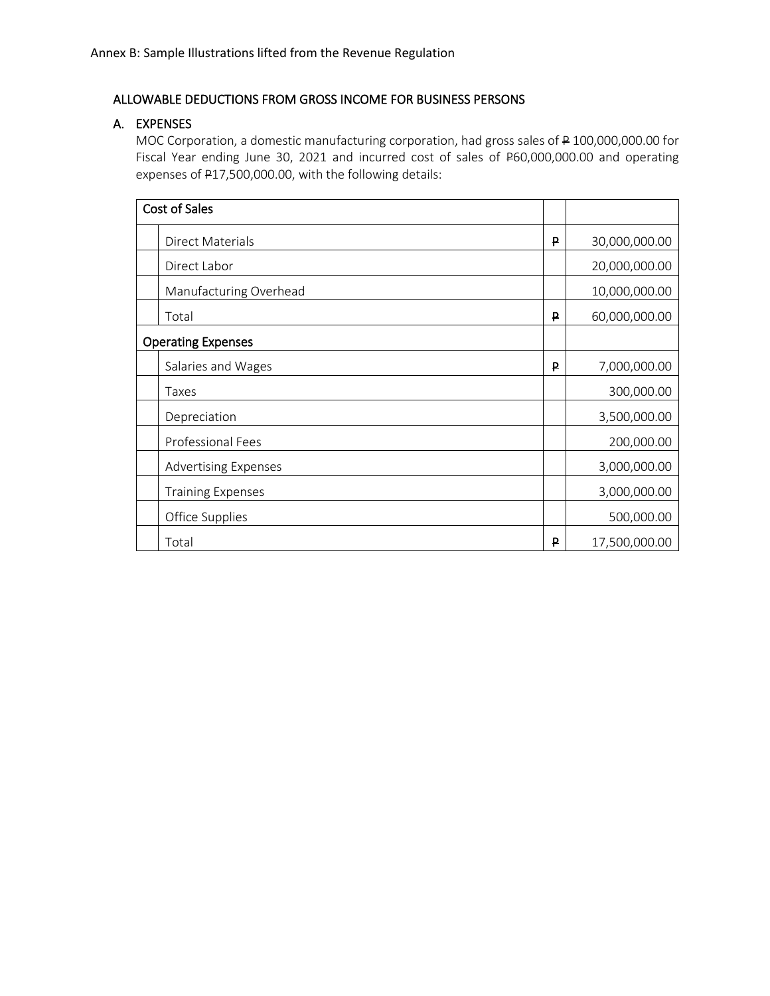## ALLOWABLE DEDUCTIONS FROM GROSS INCOME FOR BUSINESS PERSONS

## A. EXPENSES

MOC Corporation, a domestic manufacturing corporation, had gross sales of P 100,000,000.00 for Fiscal Year ending June 30, 2021 and incurred cost of sales of P60,000,000.00 and operating expenses of P17,500,000.00, with the following details:

| <b>Cost of Sales</b>        |   |               |
|-----------------------------|---|---------------|
| Direct Materials            | ₽ | 30,000,000.00 |
| Direct Labor                |   | 20,000,000.00 |
| Manufacturing Overhead      |   | 10,000,000.00 |
| Total                       | ₽ | 60,000,000.00 |
| <b>Operating Expenses</b>   |   |               |
| Salaries and Wages          | ₽ | 7,000,000.00  |
| Taxes                       |   | 300,000.00    |
| Depreciation                |   | 3,500,000.00  |
| Professional Fees           |   | 200,000.00    |
| <b>Advertising Expenses</b> |   | 3,000,000.00  |
| <b>Training Expenses</b>    |   | 3,000,000.00  |
| Office Supplies             |   | 500,000.00    |
| Total                       | ₽ | 17,500,000.00 |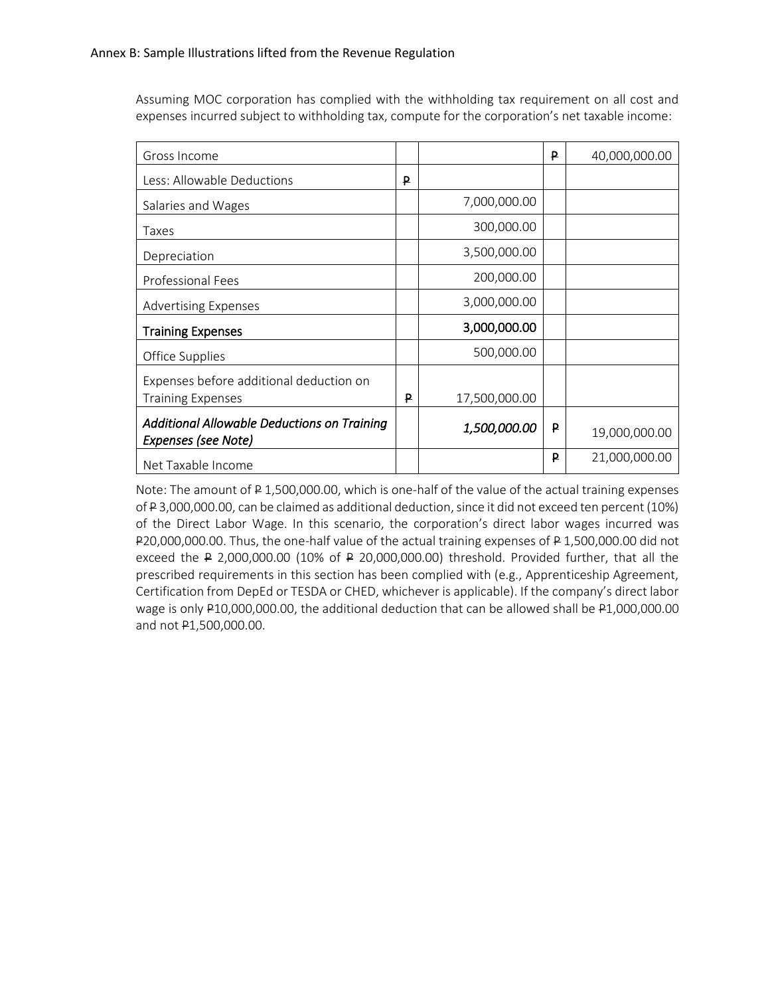Assuming MOC corporation has complied with the withholding tax requirement on all cost and expenses incurred subject to withholding tax, compute for the corporation's net taxable income:

| Gross Income                                                        |   |                     | P | 40,000,000.00 |
|---------------------------------------------------------------------|---|---------------------|---|---------------|
| Less: Allowable Deductions                                          | P |                     |   |               |
| Salaries and Wages                                                  |   | 7,000,000.00        |   |               |
| Taxes                                                               |   | 300,000.00          |   |               |
| Depreciation                                                        |   | 3,500,000.00        |   |               |
| <b>Professional Fees</b>                                            |   | 200,000.00          |   |               |
| <b>Advertising Expenses</b>                                         |   | 3,000,000.00        |   |               |
| <b>Training Expenses</b>                                            |   | 3,000,000.00        |   |               |
| Office Supplies                                                     |   | 500,000.00          |   |               |
| Expenses before additional deduction on<br><b>Training Expenses</b> | ₽ | 17,500,000.00       |   |               |
| Additional Allowable Deductions on Training<br>Expenses (see Note)  |   | <i>1,500,000.00</i> | ₽ | 19,000,000.00 |
| Net Taxable Income                                                  |   |                     | ₽ | 21,000,000.00 |

Note: The amount of P 1,500,000.00, which is one-half of the value of the actual training expenses of P 3,000,000.00, can be claimed as additional deduction, since it did not exceed ten percent (10%) of the Direct Labor Wage. In this scenario, the corporation's direct labor wages incurred was P20,000,000.00. Thus, the one-half value of the actual training expenses of P 1,500,000.00 did not exceed the P 2,000,000.00 (10% of P 20,000,000.00) threshold. Provided further, that all the prescribed requirements in this section has been complied with (e.g., Apprenticeship Agreement, Certification from DepEd or TESDA or CHED, whichever is applicable). If the company's direct labor wage is only P10,000,000.00, the additional deduction that can be allowed shall be P1,000,000.00 and not P1,500,000.00.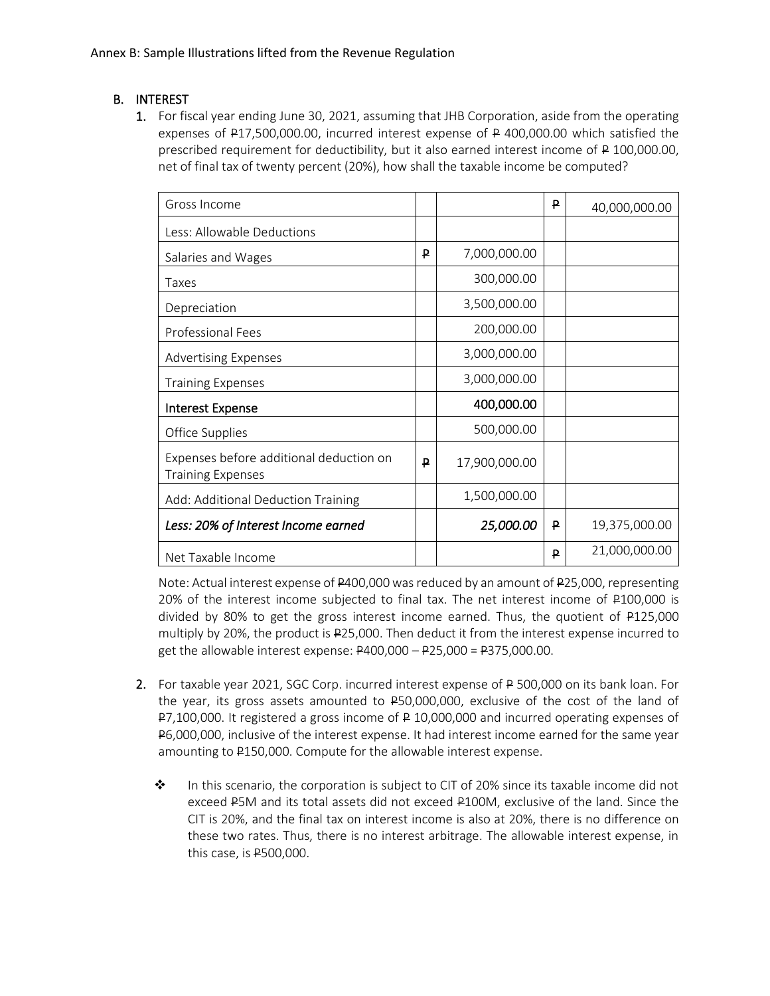# B. INTEREST

1. For fiscal year ending June 30, 2021, assuming that JHB Corporation, aside from the operating expenses of P17,500,000.00, incurred interest expense of P 400,000.00 which satisfied the prescribed requirement for deductibility, but it also earned interest income of P 100,000.00, net of final tax of twenty percent (20%), how shall the taxable income be computed?

| Gross Income                                                        |   |               | P | 40,000,000.00 |
|---------------------------------------------------------------------|---|---------------|---|---------------|
| Less: Allowable Deductions                                          |   |               |   |               |
| Salaries and Wages                                                  | P | 7,000,000.00  |   |               |
| Taxes                                                               |   | 300,000.00    |   |               |
| Depreciation                                                        |   | 3,500,000.00  |   |               |
| <b>Professional Fees</b>                                            |   | 200,000.00    |   |               |
| <b>Advertising Expenses</b>                                         |   | 3,000,000.00  |   |               |
| <b>Training Expenses</b>                                            |   | 3,000,000.00  |   |               |
| <b>Interest Expense</b>                                             |   | 400,000.00    |   |               |
| Office Supplies                                                     |   | 500,000.00    |   |               |
| Expenses before additional deduction on<br><b>Training Expenses</b> | ₽ | 17,900,000.00 |   |               |
| Add: Additional Deduction Training                                  |   | 1,500,000.00  |   |               |
| Less: 20% of Interest Income earned                                 |   | 25,000.00     | ₽ | 19,375,000.00 |
| Net Taxable Income                                                  |   |               | P | 21,000,000.00 |

Note: Actual interest expense of P400,000 was reduced by an amount of P25,000, representing 20% of the interest income subjected to final tax. The net interest income of P100,000 is divided by 80% to get the gross interest income earned. Thus, the quotient of P125,000 multiply by 20%, the product is P25,000. Then deduct it from the interest expense incurred to get the allowable interest expense: P400,000 – P25,000 = P375,000.00.

- 2. For taxable year 2021, SGC Corp. incurred interest expense of P 500,000 on its bank loan. For the year, its gross assets amounted to P50,000,000, exclusive of the cost of the land of P7,100,000. It registered a gross income of P 10,000,000 and incurred operating expenses of P6,000,000, inclusive of the interest expense. It had interest income earned for the same year amounting to P150,000. Compute for the allowable interest expense.
	- ❖ In this scenario, the corporation is subject to CIT of 20% since its taxable income did not exceed P5M and its total assets did not exceed P100M, exclusive of the land. Since the CIT is 20%, and the final tax on interest income is also at 20%, there is no difference on these two rates. Thus, there is no interest arbitrage. The allowable interest expense, in this case, is P500,000.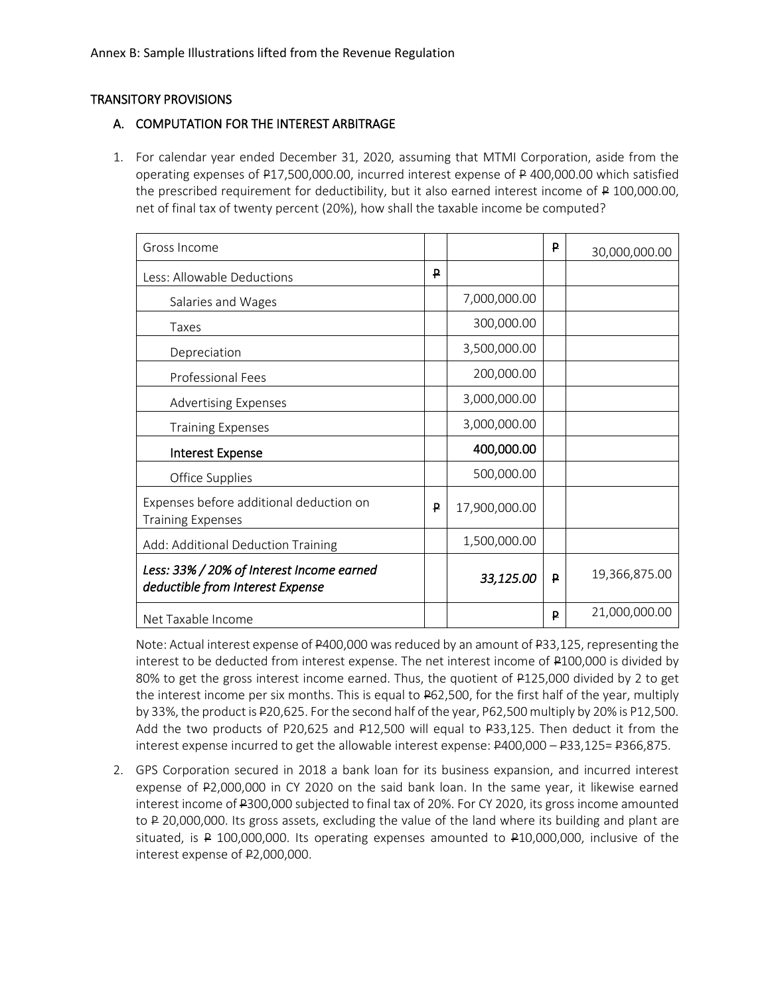### TRANSITORY PROVISIONS

### A. COMPUTATION FOR THE INTEREST ARBITRAGE

1. For calendar year ended December 31, 2020, assuming that MTMI Corporation, aside from the operating expenses of P17,500,000.00, incurred interest expense of P 400,000.00 which satisfied the prescribed requirement for deductibility, but it also earned interest income of P 100,000.00, net of final tax of twenty percent (20%), how shall the taxable income be computed?

| Gross Income                                                                  |   |               | ₽        | 30,000,000.00 |
|-------------------------------------------------------------------------------|---|---------------|----------|---------------|
| Less: Allowable Deductions                                                    | ₽ |               |          |               |
| Salaries and Wages                                                            |   | 7,000,000.00  |          |               |
| Taxes                                                                         |   | 300,000.00    |          |               |
| Depreciation                                                                  |   | 3,500,000.00  |          |               |
| Professional Fees                                                             |   | 200,000.00    |          |               |
| <b>Advertising Expenses</b>                                                   |   | 3,000,000.00  |          |               |
| <b>Training Expenses</b>                                                      |   | 3,000,000.00  |          |               |
| <b>Interest Expense</b>                                                       |   | 400,000.00    |          |               |
| Office Supplies                                                               |   | 500,000.00    |          |               |
| Expenses before additional deduction on<br><b>Training Expenses</b>           | ₽ | 17,900,000.00 |          |               |
| Add: Additional Deduction Training                                            |   | 1,500,000.00  |          |               |
| Less: 33% / 20% of Interest Income earned<br>deductible from Interest Expense |   | 33,125.00     | <b>P</b> | 19,366,875.00 |
| Net Taxable Income                                                            |   |               | ₽        | 21,000,000.00 |

Note: Actual interest expense of P400,000 was reduced by an amount of P33,125, representing the interest to be deducted from interest expense. The net interest income of P100,000 is divided by 80% to get the gross interest income earned. Thus, the quotient of P125,000 divided by 2 to get the interest income per six months. This is equal to P62,500, for the first half of the year, multiply by 33%, the product is P20,625. For the second half of the year, P62,500 multiply by 20% is P12,500. Add the two products of P20,625 and P12,500 will equal to P33,125. Then deduct it from the interest expense incurred to get the allowable interest expense: P400,000 – P33,125= P366,875.

2. GPS Corporation secured in 2018 a bank loan for its business expansion, and incurred interest expense of P2,000,000 in CY 2020 on the said bank loan. In the same year, it likewise earned interest income of P300,000 subjected to final tax of 20%. For CY 2020, its gross income amounted to P 20,000,000. Its gross assets, excluding the value of the land where its building and plant are situated, is P 100,000,000. Its operating expenses amounted to P10,000,000, inclusive of the interest expense of P2,000,000.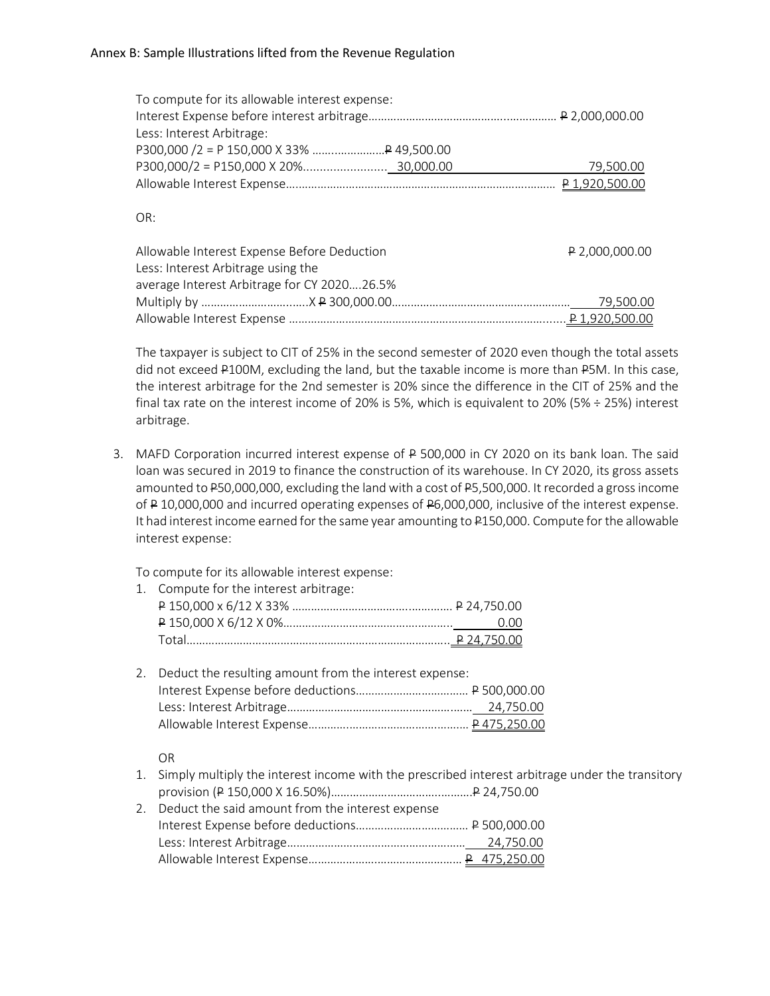| To compute for its allowable interest expense: |           |
|------------------------------------------------|-----------|
|                                                |           |
| Less: Interest Arbitrage:                      |           |
|                                                |           |
|                                                | 79,500.00 |
|                                                |           |
|                                                |           |

### OR:

| Allowable Interest Expense Before Deduction | P 2,000,000.00 |
|---------------------------------------------|----------------|
| Less: Interest Arbitrage using the          |                |
| average Interest Arbitrage for CY 202026.5% |                |
|                                             |                |
|                                             |                |

The taxpayer is subject to CIT of 25% in the second semester of 2020 even though the total assets did not exceed P100M, excluding the land, but the taxable income is more than P5M. In this case, the interest arbitrage for the 2nd semester is 20% since the difference in the CIT of 25% and the final tax rate on the interest income of 20% is 5%, which is equivalent to 20% (5%  $\div$  25%) interest arbitrage.

3. MAFD Corporation incurred interest expense of P 500,000 in CY 2020 on its bank loan. The said loan was secured in 2019 to finance the construction of its warehouse. In CY 2020, its gross assets amounted to P50,000,000, excluding the land with a cost of P5,500,000. It recorded a gross income of P 10,000,000 and incurred operating expenses of P6,000,000, inclusive of the interest expense. It had interest income earned for the same year amounting to P150,000. Compute for the allowable interest expense:

To compute for its allowable interest expense:

| 1. Compute for the interest arbitrage: |  |
|----------------------------------------|--|
|                                        |  |
|                                        |  |
|                                        |  |

| 2. Deduct the resulting amount from the interest expense: |
|-----------------------------------------------------------|
|                                                           |
|                                                           |
|                                                           |

OR

- 1. Simply multiply the interest income with the prescribed interest arbitrage under the transitory provision (P 150,000 X 16.50%)……………………………..……….P 24,750.00
- 2. Deduct the said amount from the interest expense Interest Expense before deductions……………………………… P 500,000.00 Less: Interest Arbitrage………………………………………………… 24,750.00 Allowable Interest Expense………………….……………………… P 475,250.00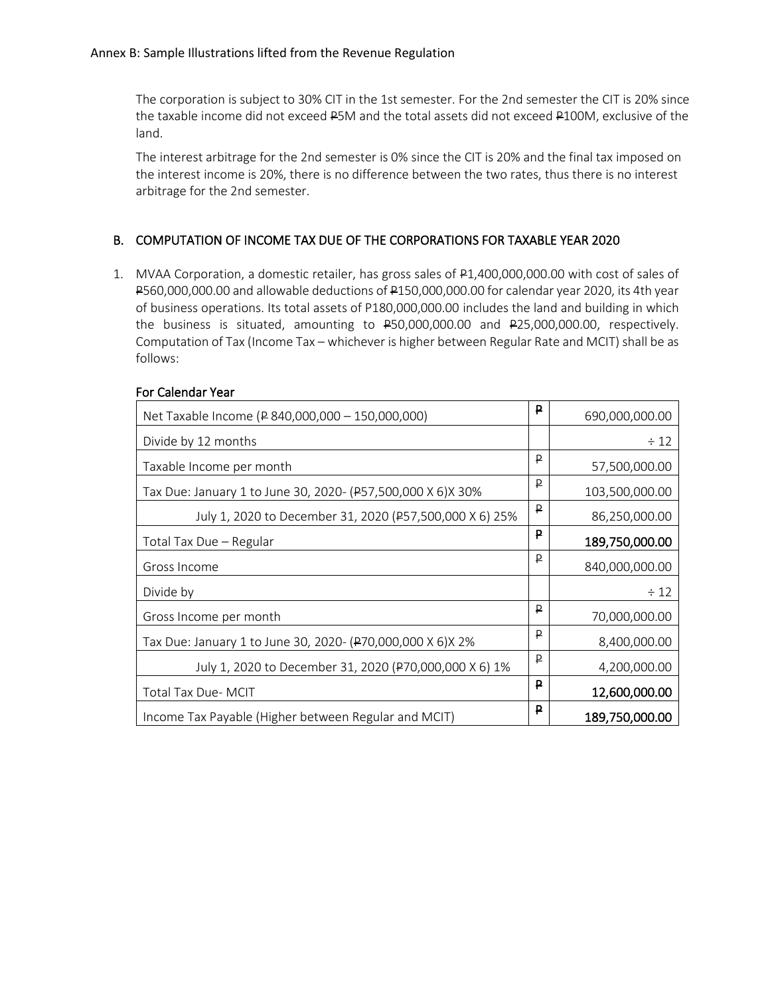The corporation is subject to 30% CIT in the 1st semester. For the 2nd semester the CIT is 20% since the taxable income did not exceed P5M and the total assets did not exceed P100M, exclusive of the land.

The interest arbitrage for the 2nd semester is 0% since the CIT is 20% and the final tax imposed on the interest income is 20%, there is no difference between the two rates, thus there is no interest arbitrage for the 2nd semester.

## B. COMPUTATION OF INCOME TAX DUE OF THE CORPORATIONS FOR TAXABLE YEAR 2020

1. MVAA Corporation, a domestic retailer, has gross sales of P1,400,000,000.00 with cost of sales of P560,000,000.00 and allowable deductions of P150,000,000.00 for calendar year 2020, its 4th year of business operations. Its total assets of P180,000,000.00 includes the land and building in which the business is situated, amounting to P50,000,000.00 and P25,000,000.00, respectively. Computation of Tax (Income Tax – whichever is higher between Regular Rate and MCIT) shall be as follows:

| Net Taxable Income (P 840,000,000 - 150,000,000)            | ₽            | 690,000,000.00 |
|-------------------------------------------------------------|--------------|----------------|
| Divide by 12 months                                         |              | $\div$ 12      |
| Taxable Income per month                                    | P            | 57,500,000.00  |
| Tax Due: January 1 to June 30, 2020- (P57,500,000 X 6)X 30% | ₽            | 103,500,000.00 |
| July 1, 2020 to December 31, 2020 (P57,500,000 X 6) 25%     | ₽            | 86,250,000.00  |
| Total Tax Due - Regular                                     | ₽            | 189,750,000.00 |
| Gross Income                                                | $\mathsf{P}$ | 840,000,000.00 |
| Divide by                                                   |              | $\div$ 12      |
| Gross Income per month                                      | P            | 70,000,000.00  |
| Tax Due: January 1 to June 30, 2020- (P70,000,000 X 6)X 2%  | ₽            | 8,400,000.00   |
| July 1, 2020 to December 31, 2020 (P70,000,000 X 6) 1%      | $\mathsf{P}$ | 4,200,000.00   |
| Total Tax Due- MCIT                                         | ₽            | 12,600,000.00  |
| Income Tax Payable (Higher between Regular and MCIT)        | ₽            | 189,750,000.00 |

#### For Calendar Year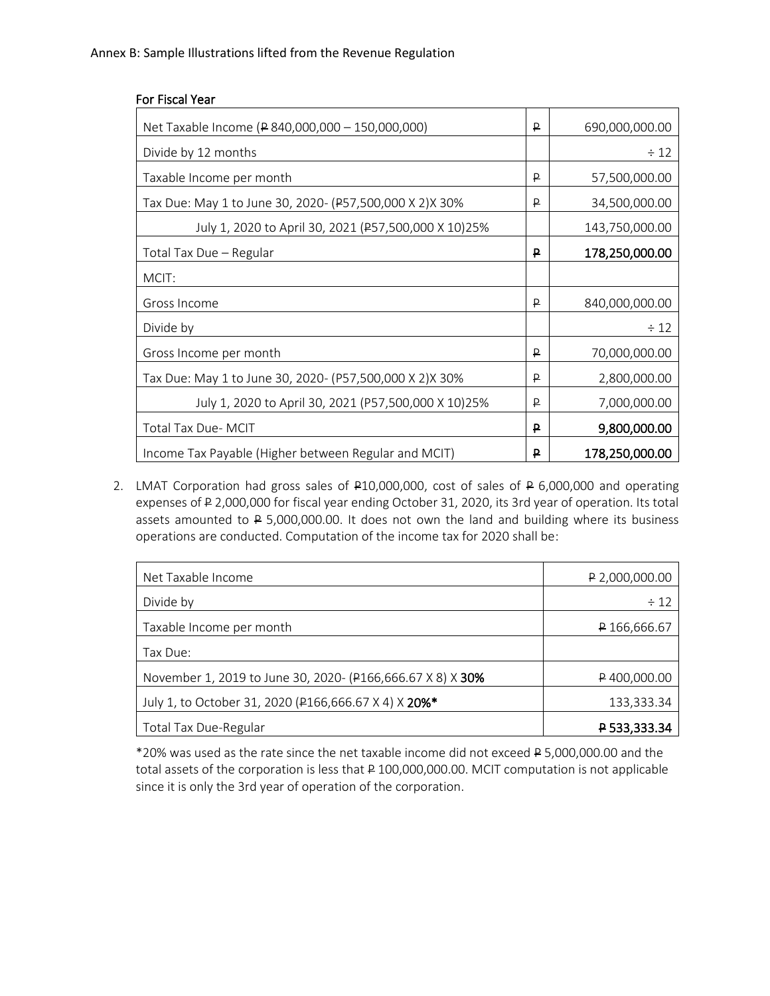| Net Taxable Income (P 840,000,000 - 150,000,000)        | ₽ | 690,000,000.00 |
|---------------------------------------------------------|---|----------------|
| Divide by 12 months                                     |   | $\div$ 12      |
| Taxable Income per month                                | ₽ | 57,500,000.00  |
| Tax Due: May 1 to June 30, 2020- (P57,500,000 X 2)X 30% | ₽ | 34,500,000.00  |
| July 1, 2020 to April 30, 2021 (P57,500,000 X 10)25%    |   | 143,750,000.00 |
| Total Tax Due - Regular                                 | P | 178,250,000.00 |
| MCIT:                                                   |   |                |
| Gross Income                                            | ₽ | 840,000,000.00 |
| Divide by                                               |   | $\div$ 12      |
| Gross Income per month                                  | ₽ | 70,000,000.00  |
| Tax Due: May 1 to June 30, 2020- (P57,500,000 X 2)X 30% | ₽ | 2,800,000.00   |
| July 1, 2020 to April 30, 2021 (P57,500,000 X 10)25%    | ₽ | 7,000,000.00   |
| Total Tax Due- MCIT                                     | P | 9,800,000.00   |
| Income Tax Payable (Higher between Regular and MCIT)    | P | 178,250,000.00 |

2. LMAT Corporation had gross sales of P10,000,000, cost of sales of P 6,000,000 and operating expenses of P 2,000,000 for fiscal year ending October 31, 2020, its 3rd year of operation. Its total assets amounted to P 5,000,000.00. It does not own the land and building where its business operations are conducted. Computation of the income tax for 2020 shall be:

| Net Taxable Income                                         | $P$ 2,000,000.00 |
|------------------------------------------------------------|------------------|
| Divide by                                                  | $\div$ 12        |
| Taxable Income per month                                   | P 166,666.67     |
| Tax Due:                                                   |                  |
| November 1, 2019 to June 30, 2020- (P166,666.67 X 8) X 30% | P400,000.00      |
| July 1, to October 31, 2020 (P166,666.67 X 4) X 20%*       | 133,333.34       |
| Total Tax Due-Regular                                      | P 533,333.34     |

\*20% was used as the rate since the net taxable income did not exceed P 5,000,000.00 and the total assets of the corporation is less that P 100,000,000.00. MCIT computation is not applicable since it is only the 3rd year of operation of the corporation.

### For Fiscal Year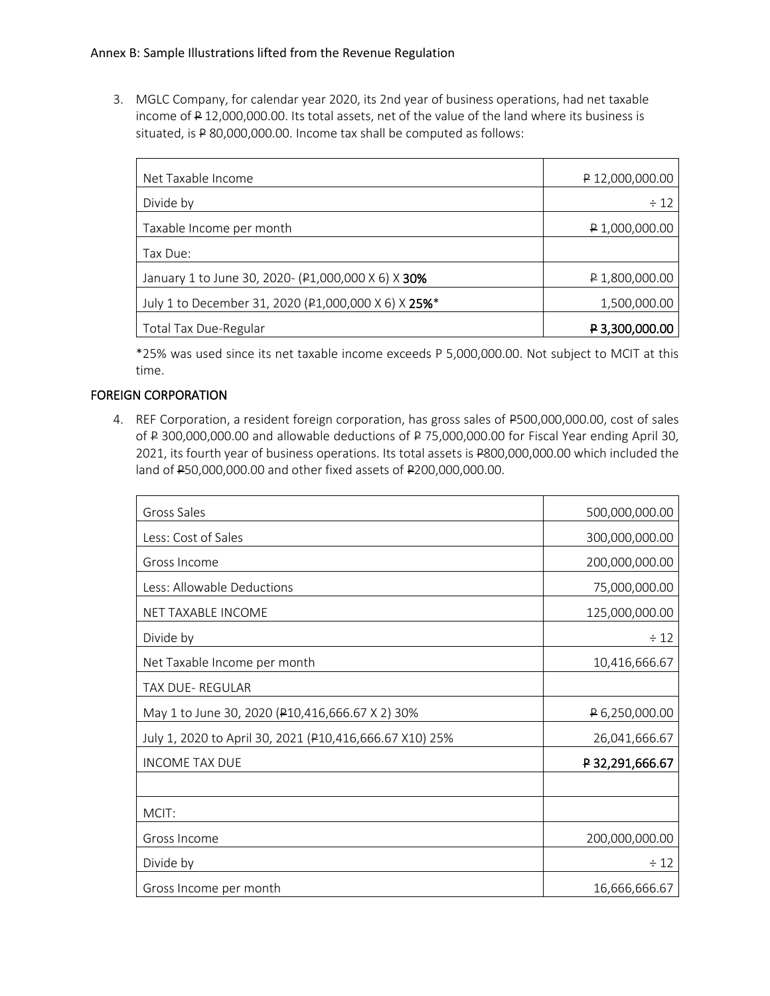3. MGLC Company, for calendar year 2020, its 2nd year of business operations, had net taxable income of P 12,000,000.00. Its total assets, net of the value of the land where its business is situated, is P 80,000,000.00. Income tax shall be computed as follows:

| Net Taxable Income                                  | $P$ 12,000,000.00 |
|-----------------------------------------------------|-------------------|
| Divide by                                           | $\div$ 12         |
| Taxable Income per month                            | P 1,000,000.00    |
| Tax Due:                                            |                   |
| January 1 to June 30, 2020- (P1,000,000 X 6) X 30%  | $P$ 1,800,000.00  |
| July 1 to December 31, 2020 (P1,000,000 X 6) X 25%* | 1,500,000.00      |
| Total Tax Due-Regular                               | P 3,300,000.00    |

\*25% was used since its net taxable income exceeds P 5,000,000.00. Not subject to MCIT at this time.

## FOREIGN CORPORATION

4. REF Corporation, a resident foreign corporation, has gross sales of P500,000,000.00, cost of sales of P 300,000,000.00 and allowable deductions of P 75,000,000.00 for Fiscal Year ending April 30, 2021, its fourth year of business operations. Its total assets is P800,000,000.00 which included the land of P50,000,000.00 and other fixed assets of P200,000,000.00.

| Gross Sales                                             | 500,000,000.00  |
|---------------------------------------------------------|-----------------|
| Less: Cost of Sales                                     | 300,000,000.00  |
| Gross Income                                            | 200,000,000.00  |
| Less: Allowable Deductions                              | 75,000,000.00   |
| NET TAXABLE INCOME                                      | 125,000,000.00  |
| Divide by                                               | $\div$ 12       |
| Net Taxable Income per month                            | 10,416,666.67   |
| TAX DUE-REGULAR                                         |                 |
| May 1 to June 30, 2020 (P10,416,666.67 X 2) 30%         | P 6,250,000.00  |
| July 1, 2020 to April 30, 2021 (P10,416,666.67 X10) 25% | 26,041,666.67   |
| <b>INCOME TAX DUE</b>                                   | P 32,291,666.67 |
|                                                         |                 |
| MCIT:                                                   |                 |
| Gross Income                                            | 200,000,000.00  |
| Divide by                                               | $\div$ 12       |
| Gross Income per month                                  | 16,666,666.67   |